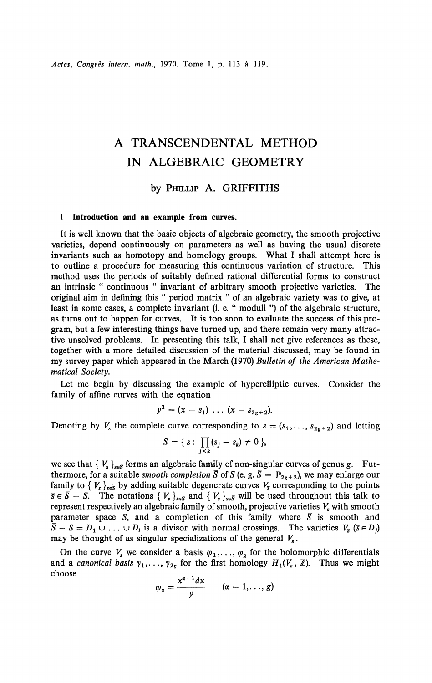# A TRANSCENDENTAL METHOD IN ALGEBRAIC GEOMETRY

## by PHILLIP A. GRIFFITHS

### 1. **Introduction and an example from curves.**

It is well known that the basic objects of algebraic geometry, the smooth projective varieties, depend continuously on parameters as well as having the usual discrete invariants such as homotopy and homology groups. What I shall attempt here is to outline a procedure for measuring this continuous variation of structure. This method uses the periods of suitably defined rational differential forms to construct an intrinsic " continuous " invariant of arbitrary smooth projective varieties. The original aim in defining this " period matrix " of an algebraic variety was to give, at least in some cases, a complete invariant (i. e. " moduli ") of the algebraic structure, as turns out to happen for curves. It is too soon to evaluate the success of this program, but a few interesting things have turned up, and there remain very many attractive unsolved problems. In presenting this talk, I shall not give references as these, together with a more detailed discussion of the material discussed, may be found in my survey paper which appeared in the March (1970) *Bulletin of the American Mathematical Society.* 

Let me begin by discussing the example of hyperelliptic curves. Consider the family of affine curves with the equation

$$
y^2 = (x - s_1) \ldots (x - s_{2g+2}).
$$

Denoting by  $V_s$  the complete curve corresponding to  $s = (s_1, \ldots, s_{2g+2})$  and letting

$$
S = \{s: \prod_{j < k} (s_j - s_k) \neq 0\},\
$$

we see that  ${V_s}_{s \in S}$  forms an algebraic family of non-singular curves of genus g. Furthermore, for a suitable *smooth completion*  $\overline{S}$  of  $S$  (e. g.  $\overline{S} = \mathbb{P}_{2g+2}$ ), we may enlarge our family to  $\{V_s\}_{s \in \overline{S}}$  by adding suitable degenerate curves  $V_{\overline{s}}$  corresponding to the points  $\overline{s} \in \overline{S} - S$ . The notations  $\{V_s\}_{s \in S}$  and  $\{V_s\}_{s \in \overline{S}}$  will be used throughout this talk to represent respectively an algebraic family of smooth, projective varieties *V<sup>s</sup>* with smooth parameter space *S*, and a completion of this family where  $\overline{S}$  is smooth and  $\overline{S} - S = D_1 \cup ... \cup D_l$  is a divisor with normal crossings. The varieties  $V_{\overline{s}}$  ( $\overline{s} \in D_j$ ) may be thought of as singular specializations of the general  $V_s$ . may be thought of as singular specializations of the general  $V_s$ .

On the curve  $V_s$  we consider a basis  $\varphi_1, \ldots, \varphi_g$  for the holomorphic differentials and a *canonical basis*  $\gamma_1, \ldots, \gamma_{2g}$  for the first homology  $H_1(V_s, \mathbb{Z})$ . Thus we might choose

$$
\varphi_{\alpha}=\frac{x^{\alpha-1}dx}{y}\qquad(\alpha=1,\ldots,g)
$$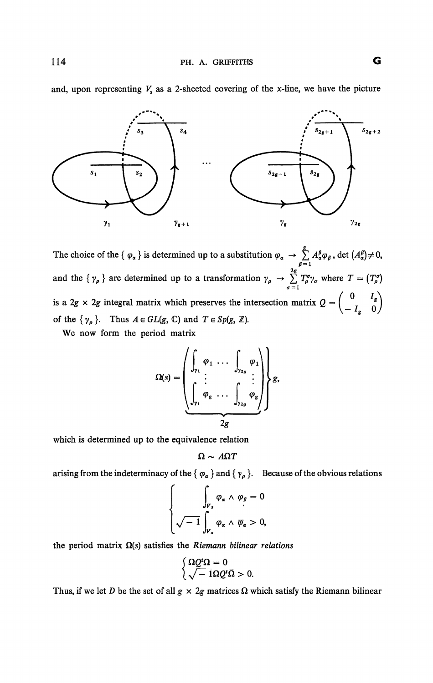

and, upon representing  $V_s$  as a 2-sheeted covering of the x-line, we have the picture

The choice of the  $\{ \varphi_\alpha \}$  is determined up to a substitution  $\varphi_\alpha \to \sum A^{\beta}_\alpha \varphi_\beta$ , det  $(A^{\beta}_\alpha) \neq 0$ , and the  $\{ \gamma_{\rho} \}$  are determined up to a transformation  $\gamma_{\rho} \to \sum_{\rho=1}^{2g} T_{\rho}^{\sigma} \gamma_{\sigma}$  where  $T = (T_{\rho}^{\sigma})$ is a 2g × 2g integral matrix which preserves the intersection matrix  $Q = \begin{pmatrix} 0 & I_g \\ -I_g & 0 \end{pmatrix}$ of the  $\{\gamma_{\rho}\}\$ . Thus  $A \in GL(g, \mathbb{C})$  and  $T \in Sp(g, \mathbb{Z})$ .

We now form the period matrix

$$
\Omega(s) = \left(\begin{matrix} \int_{\gamma_1} \varphi_1 & \cdots & \int_{\gamma_{2g}} \varphi_1 \\ \vdots & \vdots & \vdots \\ \int_{\gamma_1} \varphi_g & \cdots & \int_{\gamma_{2g}} \varphi_g \end{matrix}\right) \mathcal{g},
$$

which is determined up to the equivalence relation

$$
\Omega \sim A \Omega T
$$

arising from the indeterminacy of the { $\varphi_{\alpha}$ } and { $\gamma_{\rho}$ }. Because of the obvious relations

$$
\left\{\begin{aligned}\n\int_{V_s} \varphi_{\alpha} \wedge \varphi_{\beta} &= 0 \\
\sqrt{-1} \int_{V_s} \varphi_{\alpha} \wedge \overline{\varphi}_{\alpha} > 0,\n\end{aligned}\right.
$$

the period matrix  $\Omega(s)$  satisfies the *Riemann bilinear relations* 

$$
\begin{cases} \Omega Q^t \Omega = 0 \\ \sqrt{-1} \Omega Q^t \bar{\Omega} > 0. \end{cases}
$$

Thus, if we let *D* be the set of all  $g \times 2g$  matrices  $\Omega$  which satisfy the Riemann bilinear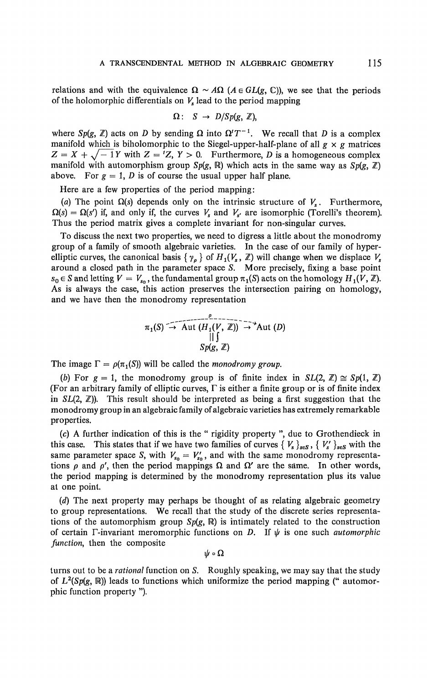relations and with the equivalence  $\Omega \sim A\Omega$  ( $A \in GL(g, \mathbb{C})$ ), we see that the periods of the holomorphic differentials on  $V_s$  lead to the period mapping

$$
\Omega: S \rightarrow D/Sp(g, \mathbb{Z}),
$$

where  $Sp(g, \mathbb{Z})$  acts on D by sending  $\Omega$  into  $\Omega'T^{-1}$ . We recall that D is a complex manifold which is biholomorphic to the Siegel-upper-half-plane of all  $g \times g$  matrices  $Z = X + \sqrt{-1}Y$  with  $Z = {}^{t}Z$ ,  $Y > 0$ . Furthermore, *D* is a homogeneous complex manifold with automorphism group  $Sp(g, \mathbb{R})$  which acts in the same way as  $Sp(g, \mathbb{Z})$ above. For  $g = 1$ , *D* is of course the usual upper half plane.

Here are a few properties of the period mapping:

(a) The point  $\Omega(s)$  depends only on the intrinsic structure of  $V_s$ . Furthermore,  $\Omega(s) = \Omega(s')$  if, and only if, the curves  $V_s$  and  $V_{s'}$  are isomorphic (Torelli's theorem). Thus the period matrix gives a complete invariant for non-singular curves.

To discuss the next two properties, we need to digress a little about the monodromy group of a family of smooth algebraic varieties. In the case of our family of hyperelliptic curves, the canonical basis  $\{ \gamma_{p} \}$  of  $H_1(V_s, \mathbb{Z})$  will change when we displace  $V_s$ around a closed path in the parameter space *S.* More precisely, fixing a base point  $s_0 \in S$  and letting  $V = V_{s_0}$ , the fundamental group  $\pi_1(S)$  acts on the homology  $H_1(V, \mathbb{Z})$ . As is always the case, this action preserves the intersection pairing on homology, and we have then the monodromy representation

$$
\pi_1(S) \stackrel{\text{def}}{\rightarrow} \text{Aut}(H_1(V, \mathbb{Z})) \stackrel{\text{def}}{\rightarrow} \text{Aut}(D)
$$
\n
$$
\begin{array}{c}\n||\int \text{Sp}(g, \mathbb{Z})\n\end{array}
$$

The image  $\Gamma = \rho(\pi_1(S))$  will be called the *monodromy group*.

*(b)* For  $g = 1$ , the monodromy group is of finite index in  $SL(2, \mathbb{Z}) \cong Sp(1, \mathbb{Z})$ (For an arbitrary family of elliptic curves,  $\Gamma$  is either a finite group or is of finite index in  $SL(2, \mathbb{Z})$ ). This result should be interpreted as being a first suggestion that the monodromy group in an algebraic family of algebraic varieties has extremely remarkable properties.

*(c) A* further indication of this is the " rigidity property ", due to Grothendieck in this case. This states that if we have two families of curves  $\{V_s\}_{s\in S}$ ,  $\{V'_s\}_{s\in S}$  with the same parameter space *S*, with  $V_{s_0} = V'_{s_0}$ , and with the same monodromy representations  $\rho$  and  $\rho'$ , then the period mappings  $\Omega$  and  $\Omega'$  are the same. In other words, the period mapping is determined by the monodromy representation plus its value at one point.

*(d)* The next property may perhaps be thought of as relating algebraic geometry to group representations. We recall that the study of the discrete series representations of the automorphism group  $Sp(g, \mathbb{R})$  is intimately related to the construction of certain  $\Gamma$ -invariant meromorphic functions on *D*. If  $\psi$  is one such *automorphic function,* then the composite

 $\psi \circ \Omega$ 

turns oui to be a *rational* function on *S.* Roughly speaking, we may say that the study of  $L^2(Sp(g, \mathbb{R}))$  leads to functions which uniformize the period mapping (" automorphic function property ").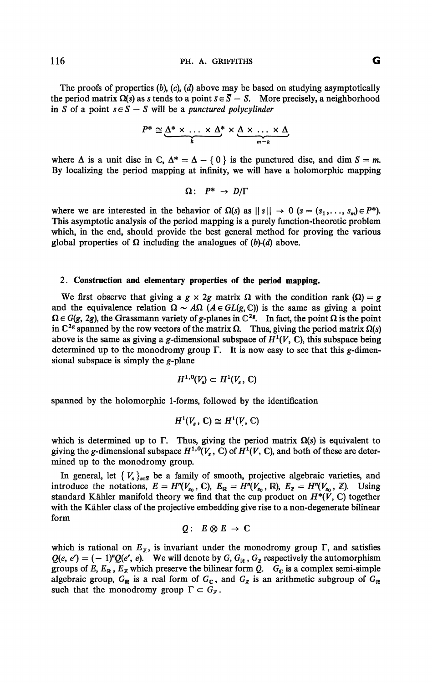The proofs of properties *(b), (c), (d)* above may be based on studying asymptotically the period matrix  $\Omega(s)$  as *s* tends to a point  $\bar{s} \in \overline{S} - S$ . More precisely, a neighborhood in *S* of a point  $s \in S - S$  will be a *punctured polycylinder* 

$$
P^* \cong \underbrace{\Delta^* \times \ldots \times \Delta^*}_{k} \times \underbrace{\Delta \times \ldots \times \Delta}_{m-k}
$$

where  $\Delta$  is a unit disc in C,  $\Delta^* = \Delta - \{0\}$  is the punctured disc, and dim  $S = m$ . By localizing the period mapping at infinity, we will have a holomorphic mapping

$$
\Omega: P^* \to D/\Gamma
$$

where we are interested in the behavior of  $\Omega(s)$  as  $\|\cdot\| \to 0$  ( $s = (s_1, \ldots, s_m) \in P^*$ ). This asymptotic analysis of the period mapping is a purely function-theoretic problem which, in the end, should provide the best general method for proving the various global properties of  $\Omega$  including the analogues of (b)-(d) above.

#### 2. **Construction and elementary properties of the period mapping.**

We first observe that giving a  $g \times 2g$  matrix  $\Omega$  with the condition rank ( $\Omega$ ) = g and the equivalence relation  $\Omega \sim A\Omega$  ( $A \in GL(g, \mathbb{C})$ ) is the same as giving a point  $\Omega \in G(g, 2g)$ , the Grassmann variety of g-planes in  $\mathbb{C}^{2g}$ . In fact, the point  $\Omega$  is the point in  $\mathbb{C}^{2g}$  spanned by the row vectors of the matrix  $\Omega$ . Thus, giving the period matrix  $\Omega(s)$ above is the same as giving a g-dimensional subspace of  $H^1(V, \mathbb{C})$ , this subspace being determined up to the monodromy group  $\Gamma$ . It is now easy to see that this g-dimensional subspace is simply the g-plane

$$
H^{1,0}(V_{\scriptscriptstyle\bullet})\subset H^1(V_{\scriptscriptstyle\bullet},\,\mathbb{C})
$$

spanned by the holomorphic 1-forms, followed by the identification

$$
H^1(V_s, \mathbb{C}) \cong H^1(V, \mathbb{C})
$$

which is determined up to  $\Gamma$ . Thus, giving the period matrix  $\Omega(s)$  is equivalent to giving the g-dimensional subspace  $H^{1,0}(V_s, \mathbb{C})$  of  $H^1(V, \mathbb{C})$ , and both of these are determined up to the monodromy group.

In general, let  ${V_s}_{s \in S}$  be a family of smooth, projective algebraic varieties, and introduce the notations,  $E = H^n(V_{s_0}, \mathbb{C})$ ,  $E_{\mathbb{R}} = H^n(V_{s_0}, \mathbb{R})$ ,  $E_{\mathbb{Z}} = H^n(V_{s_0}, \mathbb{Z})$ . Using standard Kähler manifold theory we find that the cup product on  $H^*(V, \mathbb{C})$  together with the Kahler class of the projective embedding give rise to a non-degenerate bilinear form

$$
Q: E \otimes E \to \mathbb{C}
$$

which is rational on  $E_{\bar{z}}$ , is invariant under the monodromy group  $\Gamma$ , and satisfies  $Q(e, e') = (-1)^n Q(e', e)$ . We will denote by *G*,  $G_{\mathbb{R}}$ ,  $G_{\mathbb{Z}}$  respectively the automorphism groups of E,  $E_R$ ,  $E_Z$  which preserve the bilinear form  $\overline{Q}$ .  $\overline{G}_C$  is a complex semi-simple algebraic group,  $G_{\mathbb{R}}$  is a real form of  $G_{\mathbb{C}}$ , and  $G_{\mathbb{Z}}$  is an arithmetic subgroup of  $G_{\mathbb{R}}$ such that the monodromy group  $\Gamma \subset G_{\mathbb{Z}}$ .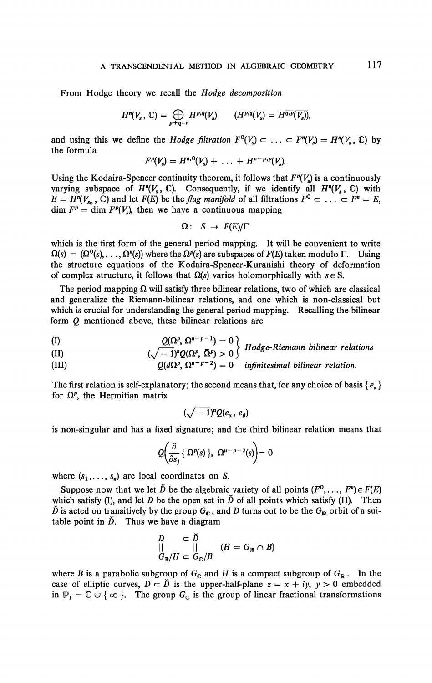From Hodge theory we recall the *Hodge decomposition* 

$$
H^n(V_s, \mathbb{C}) = \bigoplus_{p+q=n} H^{p,q}(V_s) \qquad (H^{p,q}(V_s) = \overline{H^{q,p}(V_s)}),
$$

and using this we define the *Hodge filtration*  $F^0(V_s) \subset \ldots \subset F^n(V_s) = H^n(V_s, \mathbb{C})$  by the formula

$$
F^{p}(V_s) = H^{n,0}(V_s) + \ldots + H^{n-p,p}(V_s).
$$

Using the Kodaira-Spencer continuity theorem, it follows that  $F^p(V_s)$  is a continuously varying subspace of  $H^n(V_s, \mathbb{C})$ . Consequently, if we identify all  $H^n(V_s, \mathbb{C})$  with  $E = H^n(V_{s_0}, \mathbb{C})$  and let  $F(E)$  be the *flag manifold* of all filtrations  $F^0 \subset \ldots \subset F^n = E$ ,  $\dim F^p = \dim F^p(V_s)$ , then we have a continuous mapping

$$
\Omega\colon\ S\to F(E)/\Gamma
$$

which is the first form of the general period mapping. It will be convenient to write  $\Omega(s) = (\Omega^0(s), \dots, \Omega^n(s))$  where the  $\Omega^p(s)$  are subspaces of  $F(E)$  taken modulo  $\Gamma$ . Using the structure equations of the Kodaira-Spencer-Kuranishi theory of deformation of complex structure, it follows that  $\Omega(s)$  varies holomorphically with  $s \in S$ .

The period mapping  $\Omega$  will satisfy three bilinear relations, two of which are classical and generalize the Riemann-bilinear relations, and one which is non-classical but which is crucial for understanding the general period mapping. Recalling the bilinear form *Q* mentioned above, these bilinear relations are

$$
Q(\Omega^p, \Omega^{n-p-1}) = 0
$$

(II) 
$$
(\sqrt{-1})^n Q(\Omega^p, \overline{\Omega}^p) > 0
$$
 *Hodge-Riemann bilinear relations*

(III)  $Q(d\Omega^p, \Omega^{n-p-2}) = 0$  infinitesimal bilinear relation.

The first relation is self-explanatory; the second means that, for any choice of basis  $\{e_{\alpha}\}\$ for  $\Omega^p$ , the Hermitian matrix

$$
(\sqrt{-1})^n Q(e_\alpha, e_\beta)
$$

is non-singular and has a fixed signature; and the third bilinear relation means that

$$
Q\left(\frac{\partial}{\partial s_j}\left\{\,\Omega^p(s)\,\right\},\ \Omega^{n-p-2}(s)\right)=0
$$

where  $(s_1, \ldots, s_n)$  are local coordinates on *S*.

Suppose now that we let  $\check{D}$  be the algebraic variety of all points  $(F^0, \ldots, F^n) \in F(E)$ which satisfy (I), and let *D* be the open set in  $\check{D}$  of all points which satisfy (II). Then  $\tilde{D}$  is acted on transitively by the group  $G_c$ , and D turns out to be the  $G_R$  orbit of a suitable point in  $\check{D}$ . Thus we have a diagram

$$
\begin{array}{ccc}\nD & \subset \tilde{D} \\
|| & || \\
G_{\mathbb{R}}/H & \subset G_{\mathbb{C}}/B\n\end{array} \quad (H = G_{\mathbb{R}} \cap B)
$$

where *B* is a parabolic subgroup of  $G_c$  and *H* is a compact subgroup of  $G_R$ . In the case of elliptic curves,  $D \subset \tilde{D}$  is the upper-half-plane  $z = x + iy$ ,  $y > 0$  embedded in  $P_1 = C \cup \{\infty\}$ . The group  $G_C$  is the group of linear fractional transformations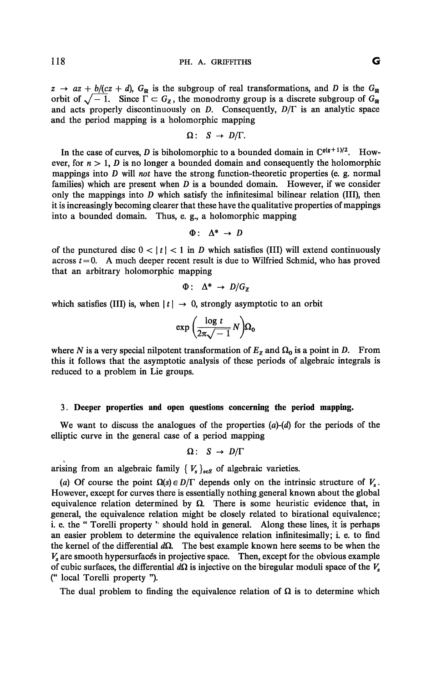$z \rightarrow az + b/(cz + d)$ ,  $G_{\mathbb{R}}$  is the subgroup of real transformations, and *D* is the  $G_{\mathbb{R}}$ orbit of  $\sqrt{-1}$ . Since  $\Gamma \subset G_{\mathbb{Z}}$ , the monodromy group is a discrete subgroup of  $G_{\mathbb{R}}$ and acts properly discontinuously on *D.* Consequently, *D/T* is an analytic space and the period mapping is a holomorphic mapping

$$
\Omega\colon S\to D/\Gamma.
$$

In the case of curves, *D* is biholomorphic to a bounded domain in  $\mathbb{C}^{g(g+1)/2}$ . However, for  $n > 1$ , *D* is no longer a bounded domain and consequently the holomorphic mappings into *D* will *not* have the strong function-theoretic properties (e. g. normal families) which are present when *D* is a bounded domain. However, if we consider only the mappings into *D* which satisfy the infinitésimal bilinear relation (III), then it is increasingly becoming clearer that these have the qualitative properties of mappings into a bounded domain. Thus, e. g., a holomorphic mapping

$$
\Phi: \Delta^* \to D
$$

of the punctured disc  $0 < |t| < 1$  in *D* which satisfies (III) will extend continuously across  $t = 0$ . A much deeper recent result is due to Wilfried Schmid, who has proved that an arbitrary holomorphic mapping

$$
\Phi: \Delta^* \to D/G_{\mathbb{Z}}
$$

which satisfies (III) is, when  $|t| \to 0$ , strongly asymptotic to an orbit

$$
\exp\left(\frac{\log t}{2\pi\sqrt{-1}}N\right)\Omega_0
$$

where *N* is a very special nilpotent transformation of  $E_z$  and  $\Omega_0$  is a point in *D*. From this it follows that the asymptotic analysis of these periods of algebraic integrals is reduced to a problem in Lie groups.

#### 3. **Deeper properties and open questions concerning the period mapping.**

We want to discuss the analogues of the properties *(a)-(d)* for the periods of the elliptic curve in the general case of a period mapping

$$
\Omega: S \to D/\Gamma
$$

arising from an algebraic family  $\{V_s\}_{s \in S}$  of algebraic varieties.

(a) Of course the point  $\Omega(s) \in D/\Gamma$  depends only on the intrinsic structure of  $V_s$ . However, except for curves there is essentially nothing general known about the global equivalence relation determined by  $\Omega$ . There is some heuristic evidence that, in general, the equivalence relation might be closely related to birational equivalence; i. e. the " Torelli property '' should hold in general. Along these lines, it is perhaps an easier problem to determine the equivalence relation infinitesimally; i. e. to find the kernel of the differential  $d\Omega$ . The best example known here seems to be when the *Vs* are smooth hypersurfaces in projective space. Then, except for the obvious example of cubic surfaces, the differential  $d\Omega$  is injective on the biregular moduli space of the  $V_s$ (" local Torelli property ").

The dual problem to finding the equivalence relation of  $\Omega$  is to determine which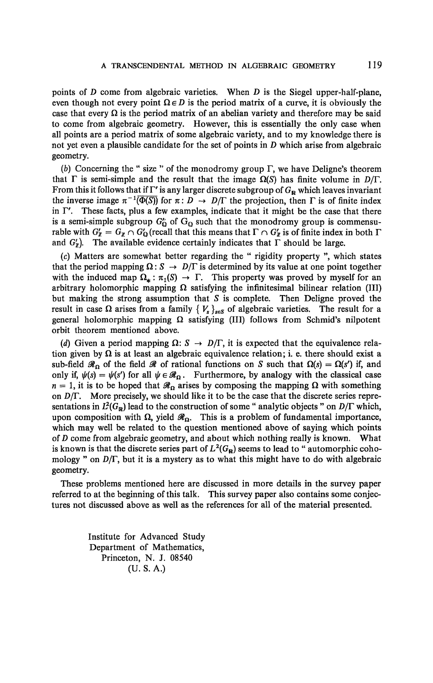points of *D* come from algebraic varieties. When *D* is the Siegel upper-half-plane, even though not every point  $\Omega \in D$  is the period matrix of a curve, it is obviously the case that every  $\Omega$  is the period matrix of an abelian variety and therefore may be said to come from algebraic geometry. However, this is essentially the only case when all points are a period matrix of some algebraic variety, and to my knowledge there is not yet even a plausible candidate for the set of points in *D* which arise from algebraic geometry.

*(b)* Concerning the " size " of the monodromy group *T,* we have Deligne's theorem that  $\Gamma$  is semi-simple and the result that the image  $\Omega(S)$  has finite volume in  $D/\Gamma$ . From this it follows that if  $\Gamma'$  is any larger discrete subgroup of  $G_R$  which leaves invariant the inverse image  $\pi^{-1}(\overline{\Phi(S)})$  for  $\pi: D \to D/\Gamma$  the projection, then  $\Gamma$  is of finite index in  $\Gamma'$ . These facts, plus a few examples, indicate that it might be the case that there is a semi-simple subgroup  $G_0$  of  $G_0$  such that the monodromy group is commensurable with  $G'_\mathbb{Z} = G_{\mathbb{Z}} \cap G'_\mathbb{Q}$  (recall that this means that  $\Gamma \cap G'_\mathbb{Z}$  is of finite index in both  $\Gamma$ and  $G'_n$ ). The available evidence certainly indicates that  $\Gamma$  should be large.

(c) Matters are somewhat better regarding the " rigidity property ", which states that the period mapping  $\Omega$  :  $S \to D/\Gamma$  is determined by its value at one point together with the induced map  $\Omega_* : \pi_1(S) \to \Gamma$ . This property was proved by myself for an arbitrary holomorphic mapping  $\Omega$  satisfying the infinitesimal bilinear relation (III) but making the strong assumption that *S* is complete. Then Deligne proved the result in case  $\Omega$  arises from a family  $\{V_s\}_{s \in S}$  of algebraic varieties. The result for a general holomorphic mapping  $\Omega$  satisfying (III) follows from Schmid's nilpotent orbit theorem mentioned above.

*(d)* Given a period mapping  $\Omega: S \to D/\Gamma$ , it is expected that the equivalence relation given by  $\Omega$  is at least an algebraic equivalence relation; i. e. there should exist a sub-field  $\mathscr{R}_\Omega$  of the field  $\mathscr{R}$  of rational functions on *S* such that  $\Omega(s) = \Omega(s')$  if, and only if,  $\psi(s) = \psi(s')$  for all  $\psi \in \mathcal{R}_{\Omega}$ . Furthermore, by analogy with the classical case  $n = 1$ , it is to be hoped that  $\mathcal{R}_{\Omega}$  arises by composing the mapping  $\Omega$  with something on *D/T.* More precisely, we should like it to be the case that the discrete series representations in  $L^2(G_\mathbb{R})$  lead to the construction of some " analytic objects " on  $D/\Gamma$  which, upon composition with  $\Omega$ , yield  $\mathcal{R}_{\Omega}$ . This is a problem of fundamental importance, which may well be related to the question mentioned above of saying which points of *D* come from algebraic geometry, and about which nothing really is known. What is known is that the discrete series part of  $L^2(G_\mathbb{R})$  seems to lead to " automorphic cohomology " on *D/T,* but it is a mystery as to what this might have to do with algebraic geometry.

These problems mentioned here are discussed in more details in the survey paper referred to at the beginning of this talk. This survey paper also contains some conjectures not discussed above as well as the references for all of the material presented.

> Institute for Advanced Study Department of Mathematics, Princeton, N. J. 08540 (U. S. A.)